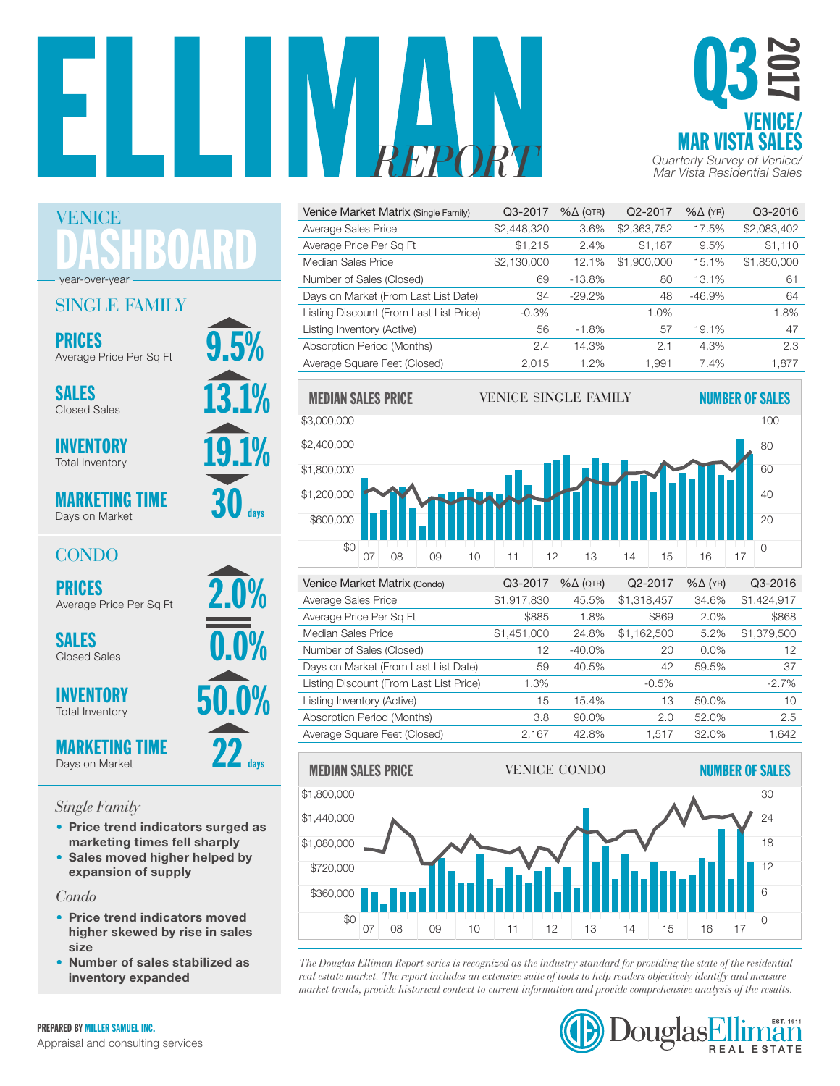



| Venice Market Matrix (Single Family)    | Q3-2017     | $% \triangle (QTR)$ | Q2-2017     | $% \triangle (YR)$ | Q3-2016     |
|-----------------------------------------|-------------|---------------------|-------------|--------------------|-------------|
| Average Sales Price                     | \$2,448,320 | 3.6%                | \$2,363,752 | 17.5%              | \$2,083,402 |
| Average Price Per Sq Ft                 | \$1.215     | 2.4%                | \$1.187     | 9.5%               | \$1,110     |
| Median Sales Price                      | \$2,130,000 | 12.1%               | \$1,900,000 | 15.1%              | \$1,850,000 |
| Number of Sales (Closed)                | 69          | $-13.8%$            | 80          | 13.1%              | 61          |
| Days on Market (From Last List Date)    | 34          | $-29.2\%$           | 48          | $-46.9%$           | 64          |
| Listing Discount (From Last List Price) | $-0.3%$     |                     | 1.0%        |                    | 1.8%        |
| Listing Inventory (Active)              | 56          | $-1.8%$             | 57          | 19.1%              | 47          |
| Absorption Period (Months)              | 2.4         | 14.3%               | 2.1         | 4.3%               | 2.3         |
| Average Square Feet (Closed)            | 2.015       | 1.2%                | 1.991       | 7.4%               | 1.877       |



| \$1,917,830 | 45.5%     | \$1,318,457 | 34.6% | \$1,424,917 |
|-------------|-----------|-------------|-------|-------------|
| \$885       | 1.8%      | \$869       | 2.0%  | \$868       |
| \$1,451,000 | 24.8%     | \$1,162,500 | 5.2%  | \$1,379,500 |
| 12          | $-40.0\%$ | 20          | 0.0%  | 12          |
| 59          | 40.5%     | 42          | 59.5% | 37          |
| 1.3%        |           | $-0.5%$     |       | $-2.7\%$    |
| 15          | 15.4%     | 13          | 50.0% | 10          |
| 3.8         | 90.0%     | 2.0         | 52.0% | 2.5         |
| 2,167       | 42.8%     | 1.517       | 32.0% | 1,642       |
|             |           |             |       |             |



*The Douglas Elliman Report series is recognized as the industry standard for providing the state of the residential*  0 \$0 *real estate market. The report includes an extensive suite of tools to help readers objectively identify and measure*  07 08 09 10 11 12 13 14 15 16 17 red estate market. The report ancidets an extensive state of tools to help redacts objectively dentify and measure<br>market trends, provide historical context to current information and provide comprehensive analysis of the



DASHBOARD VENICE year-over-year

## SINGLE FAMILY

PRICES<br>Average Price Per Sq Ft 9.5%

13.1% SALES Closed Sales

**INVENTORY** Total Inventory

MARKETING TIME Days on Market

 $30<sub>days</sub>$ 

 $22$  days

# CONDO

PRICES<br>Average Price Per Sq Ft<br>
2.0%

SALES  $\overline{0.0\%}$ Closed Sales

**INVENTORY** Total Inventory

MARKETING TIME Days on Market

# *Single Family*

- Price trend indicators surged as marketing times fell sharply
- Sales moved higher helped by expansion of supply

*Condo*

- Price trend indicators moved higher skewed by rise in sales size
- Number of sales stabilized as inventory expanded